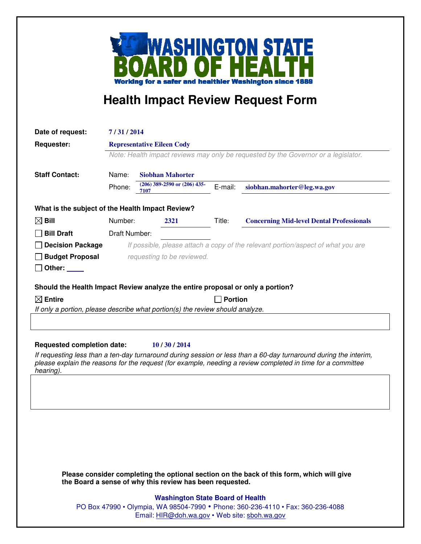

## **Health Impact Review Request Form**

| Date of request:                                 | 7/31/2014                                                                                                               |                                                                                |         |                                                  |
|--------------------------------------------------|-------------------------------------------------------------------------------------------------------------------------|--------------------------------------------------------------------------------|---------|--------------------------------------------------|
| <b>Requester:</b>                                | <b>Representative Eileen Cody</b><br>Note: Health impact reviews may only be requested by the Governor or a legislator. |                                                                                |         |                                                  |
|                                                  |                                                                                                                         |                                                                                |         |                                                  |
|                                                  | Phone:                                                                                                                  | $(206)$ 389-2590 or $(206)$ 435-<br>7107                                       | E-mail: | siobhan.mahorter@leg.wa.gov                      |
| What is the subject of the Health Impact Review? |                                                                                                                         |                                                                                |         |                                                  |
| $\boxtimes$ Bill                                 | Number:                                                                                                                 | 2321                                                                           | Title:  | <b>Concerning Mid-level Dental Professionals</b> |
| <b>Bill Draft</b>                                | Draft Number:                                                                                                           |                                                                                |         |                                                  |
| <b>Decision Package</b>                          | If possible, please attach a copy of the relevant portion/aspect of what you are                                        |                                                                                |         |                                                  |
| <b>Budget Proposal</b>                           | requesting to be reviewed.                                                                                              |                                                                                |         |                                                  |
| Other: $\_\_$                                    |                                                                                                                         |                                                                                |         |                                                  |
|                                                  |                                                                                                                         | Should the Health Impact Review analyze the entire proposal or only a portion? |         |                                                  |
| $\boxtimes$ Entire                               | <b>Portion</b>                                                                                                          |                                                                                |         |                                                  |
|                                                  |                                                                                                                         | If only a portion, please describe what portion(s) the review should analyze.  |         |                                                  |

**Requested completion date: 10 / 30 / 2014**

If requesting less than a ten-day turnaround during session or less than a 60-day turnaround during the interim, please explain the reasons for the request (for example, needing a review completed in time for a committee hearing).

**Please consider completing the optional section on the back of this form, which will give the Board a sense of why this review has been requested.** 

## **Washington State Board of Health**

PO Box 47990 • Olympia, WA 98504-7990 • Phone: 360-236-4110 • Fax: 360-236-4088 Email: HIR@doh.wa.gov • Web site: sboh.wa.gov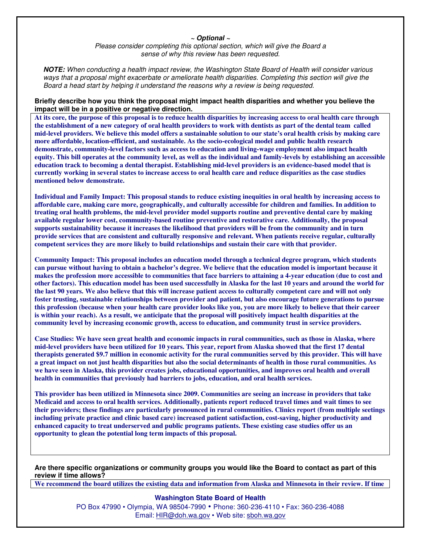## **~ Optional ~**

Please consider completing this optional section, which will give the Board a sense of why this review has been requested.

**NOTE:** When conducting a health impact review, the Washington State Board of Health will consider various ways that a proposal might exacerbate or ameliorate health disparities. Completing this section will give the Board a head start by helping it understand the reasons why a review is being requested.

**Briefly describe how you think the proposal might impact health disparities and whether you believe the impact will be in a positive or negative direction.**

**At its core, the purpose of this proposal is to reduce health disparities by increasing access to oral health care through the establishment of a new category of oral health providers to work with dentists as part of the dental team called mid-level providers. We believe this model offers a sustainable solution to our state's oral health crisis by making care more affordable, location-efficient, and sustainable. As the socio-ecological model and public health research demonstrate, community-level factors such as access to education and living-wage employment also impact health equity. This bill operates at the community level, as well as the individual and family-levels by establishing an accessible education track to becoming a dental therapist. Establishing mid-level providers is an evidence-based model that is currently working in several states to increase access to oral health care and reduce disparities as the case studies mentioned below demonstrate.** 

**Individual and Family Impact: This proposal stands to reduce existing inequities in oral health by increasing access to affordable care, making care more, geographically, and culturally accessible for children and families. In addition to treating oral health problems, the mid-level provider model supports routine and preventive dental care by making available regular lower cost, community-based routine preventive and restorative care. Additionally, the proposal supports sustainability because it increases the likelihood that providers will be from the community and in turn provide services that are consistent and culturally responsive and relevant. When patients receive regular, culturally competent services they are more likely to build relationships and sustain their care with that provider.** 

**Community Impact: This proposal includes an education model through a technical degree program, which students can pursue without having to obtain a bachelor's degree. We believe that the education model is important because it makes the profession more accessible to communities that face barriers to attaining a 4-year education (due to cost and other factors). This education model has been used successfully in Alaska for the last 10 years and around the world for the last 90 years. We also believe that this will increase patient access to culturally competent care and will not only foster trusting, sustainable relationships between provider and patient, but also encourage future generations to pursue this profession (because when your health care provider looks like you, you are more likely to believe that their career is within your reach). As a result, we anticipate that the proposal will positively impact health disparities at the community level by increasing economic growth, access to education, and community trust in service providers.** 

**Case Studies: We have seen great health and economic impacts in rural communities, such as those in Alaska, where mid-level providers have been utilized for 10 years. This year, report from Alaska showed that the first 17 dental therapists generated \$9.7 million in economic activity for the rural communities served by this provider. This will have a great impact on not just health disparities but also the social determinants of health in those rural communities. As we have seen in Alaska, this provider creates jobs, educational opportunities, and improves oral health and overall health in communities that previously had barriers to jobs, education, and oral health services.** 

**This provider has been utilized in Minnesota since 2009. Communities are seeing an increase in providers that take Medicaid and access to oral health services. Additionally, patients report reduced travel times and wait times to see their providers; these findings are particularly pronounced in rural communities. Clinics report (from multiple seetings including private practice and clinic based care) increased patient satisfaction, cost-saving, higher productivity and enhanced capacity to treat underserved and public programs patients. These existing case studies offer us an opportunity to glean the potential long term impacts of this proposal.** 

**Are there specific organizations or community groups you would like the Board to contact as part of this review if time allows?** 

**We recommend the board utilizes the existing data and information from Alaska and Minnesota in their review. If time** 

## **Washington State Board of Health**

PO Box 47990 • Olympia, WA 98504-7990 • Phone: 360-236-4110 • Fax: 360-236-4088 Email: HIR@doh.wa.gov • Web site: sboh.wa.gov